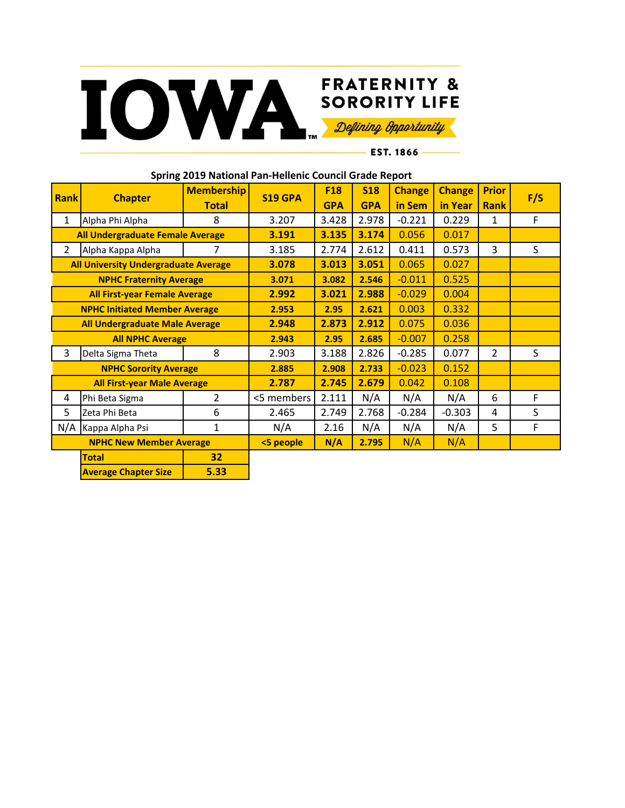

## **FRATERNITY &**

- EST. 1866 -

| Spring 2019 National Pan-Hellenic Council Grade Report |                             |                   |            |            |            |               |               |                |     |
|--------------------------------------------------------|-----------------------------|-------------------|------------|------------|------------|---------------|---------------|----------------|-----|
| <b>Rank</b>                                            | <b>Chapter</b>              | <b>Membership</b> | S19 GPA    | <b>F18</b> | <b>S18</b> | <b>Change</b> | <b>Change</b> | <b>Prior</b>   | F/S |
|                                                        |                             | <b>Total</b>      |            | <b>GPA</b> | <b>GPA</b> | in Sem        | in Year       | <b>Rank</b>    |     |
| 1                                                      | Alpha Phi Alpha             | 8                 | 3.207      | 3.428      | 2.978      | $-0.221$      | 0.229         | 1              | F   |
| <b>All Undergraduate Female Average</b>                |                             | 3.191             | 3.135      | 3.174      | 0.056      | 0.017         |               |                |     |
| $\overline{2}$                                         | Alpha Kappa Alpha           | 7                 | 3.185      | 2.774      | 2.612      | 0.411         | 0.573         | 3              | S   |
| <b>All University Undergraduate Average</b>            |                             |                   | 3.078      | 3.013      | 3.051      | 0.065         | 0.027         |                |     |
| <b>NPHC Fraternity Average</b>                         |                             |                   | 3.071      | 3.082      | 2.546      | $-0.011$      | 0.525         |                |     |
| <b>All First-year Female Average</b>                   |                             |                   | 2.992      | 3.021      | 2.988      | $-0.029$      | 0.004         |                |     |
| <b>NPHC Initiated Member Average</b>                   |                             |                   | 2.953      | 2.95       | 2.621      | 0.003         | 0.332         |                |     |
| <b>All Undergraduate Male Average</b>                  |                             |                   | 2.948      | 2.873      | 2.912      | 0.075         | 0.036         |                |     |
| <b>All NPHC Average</b>                                |                             |                   | 2.943      | 2.95       | 2.685      | $-0.007$      | 0.258         |                |     |
| 3                                                      | Delta Sigma Theta           | 8                 | 2.903      | 3.188      | 2.826      | $-0.285$      | 0.077         | $\overline{2}$ | S   |
| <b>NPHC Sorority Average</b>                           |                             |                   | 2.885      | 2.908      | 2.733      | $-0.023$      | 0.152         |                |     |
| <b>All First-year Male Average</b>                     |                             |                   | 2.787      | 2.745      | 2.679      | 0.042         | 0.108         |                |     |
| 4                                                      | Phi Beta Sigma              | 2                 | <5 members | 2.111      | N/A        | N/A           | N/A           | 6              | F   |
| 5                                                      | Zeta Phi Beta               | 6                 | 2.465      | 2.749      | 2.768      | $-0.284$      | $-0.303$      | 4              | S   |
| N/A                                                    | Kappa Alpha Psi             | $\mathbf{1}$      | N/A        | 2.16       | N/A        | N/A           | N/A           | 5              | F   |
| <b>NPHC New Member Average</b>                         |                             |                   | <5 people  | N/A        | 2.795      | N/A           | N/A           |                |     |
|                                                        | <b>Total</b>                | 32                |            |            |            |               |               |                |     |
|                                                        | <b>Average Chapter Size</b> | 5.33              |            |            |            |               |               |                |     |